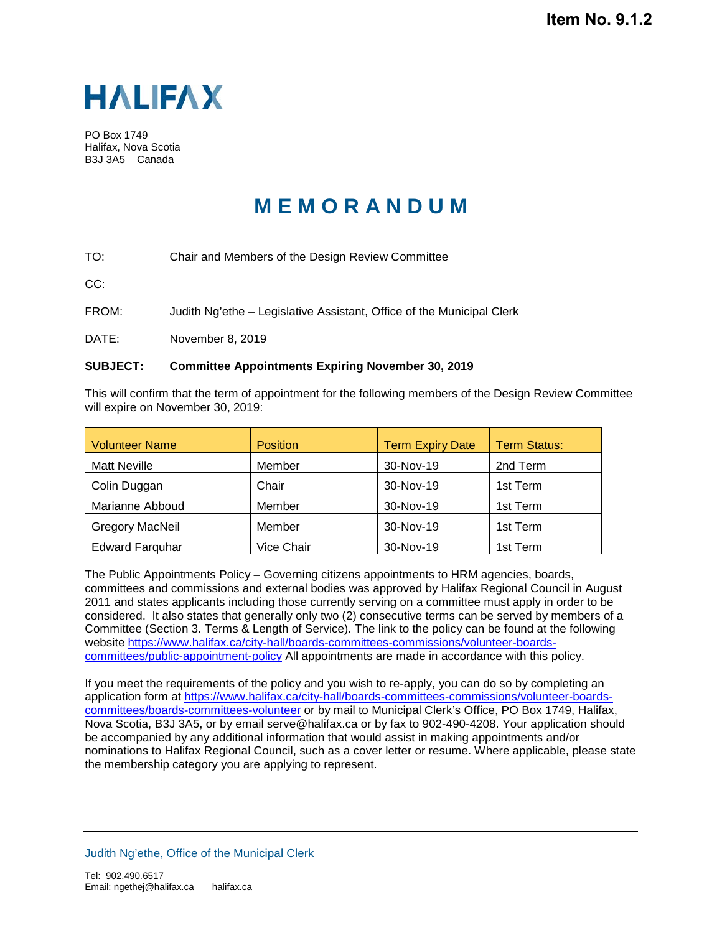

PO Box 1749 Halifax, Nova Scotia B3J 3A5 Canada

## **M E M O R A N D U M**

TO: Chair and Members of the Design Review Committee

CC:

FROM: Judith Ng'ethe – Legislative Assistant, Office of the Municipal Clerk

DATE: November 8, 2019

## **SUBJECT: Committee Appointments Expiring November 30, 2019**

This will confirm that the term of appointment for the following members of the Design Review Committee will expire on November 30, 2019:

| <b>Volunteer Name</b>  | <b>Position</b> | <b>Term Expiry Date</b> | <b>Term Status:</b> |
|------------------------|-----------------|-------------------------|---------------------|
| <b>Matt Neville</b>    | Member          | 30-Nov-19               | 2nd Term            |
| Colin Duggan           | Chair           | 30-Nov-19               | 1st Term            |
| Marianne Abboud        | Member          | 30-Nov-19               | 1st Term            |
| <b>Gregory MacNeil</b> | Member          | 30-Nov-19               | 1st Term            |
| <b>Edward Farguhar</b> | Vice Chair      | 30-Nov-19               | 1st Term            |

The Public Appointments Policy – Governing citizens appointments to HRM agencies, boards, committees and commissions and external bodies was approved by Halifax Regional Council in August 2011 and states applicants including those currently serving on a committee must apply in order to be considered. It also states that generally only two (2) consecutive terms can be served by members of a Committee (Section 3. Terms & Length of Service). The link to the policy can be found at the following website [https://www.halifax.ca/city-hall/boards-committees-commissions/volunteer-boards](https://www.halifax.ca/city-hall/boards-committees-commissions/volunteer-boards-committees/public-appointment-policy)[committees/public-appointment-policy](https://www.halifax.ca/city-hall/boards-committees-commissions/volunteer-boards-committees/public-appointment-policy) All appointments are made in accordance with this policy.

If you meet the requirements of the policy and you wish to re-apply, you can do so by completing an application form at [https://www.halifax.ca/city-hall/boards-committees-commissions/volunteer-boards](https://www.halifax.ca/city-hall/boards-committees-commissions/volunteer-boards-committees/boards-committees-volunteer)[committees/boards-committees-volunteer](https://www.halifax.ca/city-hall/boards-committees-commissions/volunteer-boards-committees/boards-committees-volunteer) or by mail to Municipal Clerk's Office, PO Box 1749, Halifax, Nova Scotia, B3J 3A5, or by email serve@halifax.ca or by fax to 902-490-4208. Your application should be accompanied by any additional information that would assist in making appointments and/or nominations to Halifax Regional Council, such as a cover letter or resume. Where applicable, please state the membership category you are applying to represent.

Judith Ng'ethe, Office of the Municipal Clerk